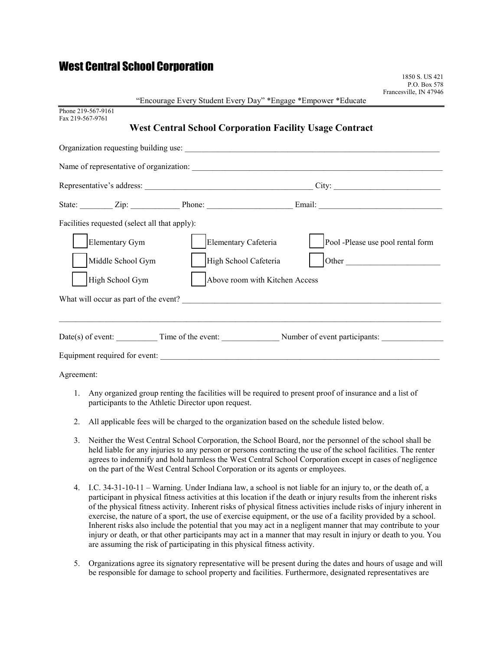# West Central School Corporation

| Francesville, IN 47946                                                             | P.O. Box 578 |
|------------------------------------------------------------------------------------|--------------|
| "Encourage Every Student Every Day" *Engage *Empower *Educate                      |              |
| Phone 219-567-9161<br>Fax 219-567-9761                                             |              |
| <b>West Central School Corporation Facility Usage Contract</b>                     |              |
|                                                                                    |              |
|                                                                                    |              |
|                                                                                    |              |
| State: <u>Zip:</u> Zip: Phone: <u>Phone: Email:</u> Email:                         |              |
| Facilities requested (select all that apply):                                      |              |
| Pool -Please use pool rental form<br><b>Elementary Gym</b><br>Elementary Cafeteria |              |
| Other<br>High School Cafeteria<br>Middle School Gym                                |              |
| High School Gym<br>Above room with Kitchen Access                                  |              |
|                                                                                    |              |
|                                                                                    |              |
| Date(s) of event: Time of the event: Number of event participants:                 |              |
| Equipment required for event:                                                      |              |
| Agreement:                                                                         |              |

1850 S. US 421

- 1. Any organized group renting the facilities will be required to present proof of insurance and a list of participants to the Athletic Director upon request.
- 2. All applicable fees will be charged to the organization based on the schedule listed below.
- 3. Neither the West Central School Corporation, the School Board, nor the personnel of the school shall be held liable for any injuries to any person or persons contracting the use of the school facilities. The renter agrees to indemnify and hold harmless the West Central School Corporation except in cases of negligence on the part of the West Central School Corporation or its agents or employees.
- 4. I.C. 34-31-10-11 Warning. Under Indiana law, a school is not liable for an injury to, or the death of, a participant in physical fitness activities at this location if the death or injury results from the inherent risks of the physical fitness activity. Inherent risks of physical fitness activities include risks of injury inherent in exercise, the nature of a sport, the use of exercise equipment, or the use of a facility provided by a school. Inherent risks also include the potential that you may act in a negligent manner that may contribute to your injury or death, or that other participants may act in a manner that may result in injury or death to you. You are assuming the risk of participating in this physical fitness activity.
- 5. Organizations agree its signatory representative will be present during the dates and hours of usage and will be responsible for damage to school property and facilities. Furthermore, designated representatives are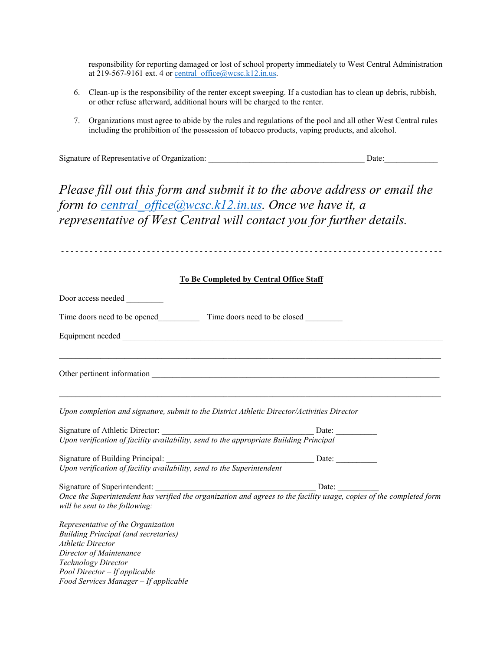responsibility for reporting damaged or lost of school property immediately to West Central Administration at 219-567-9161 ext. 4 or central office@wcsc.k12.in.us.

- 6. Clean-up is the responsibility of the renter except sweeping. If a custodian has to clean up debris, rubbish, or other refuse afterward, additional hours will be charged to the renter.
- 7. Organizations must agree to abide by the rules and regulations of the pool and all other West Central rules including the prohibition of the possession of tobacco products, vaping products, and alcohol.

Signature of Representative of Organization: \_\_\_\_\_\_\_\_\_\_\_\_\_\_\_\_\_\_\_\_\_\_\_\_\_\_\_\_\_\_\_\_\_\_\_\_\_\_ Date:\_\_\_\_\_\_\_\_\_\_\_\_\_

*Please fill out this form and submit it to the above address or email the form to [central\\_office@wcsc.k12.in.us.](mailto:central_office@wcsc.k12.in.us) Once we have it, a representative of West Central will contact you for further details.* 

| To Be Completed by Central Office Staff                                                                                                                                                                                                   |  |  |  |
|-------------------------------------------------------------------------------------------------------------------------------------------------------------------------------------------------------------------------------------------|--|--|--|
|                                                                                                                                                                                                                                           |  |  |  |
| Time doors need to be opened Time doors need to be closed                                                                                                                                                                                 |  |  |  |
|                                                                                                                                                                                                                                           |  |  |  |
| ,我们也不能在这里的时候,我们也不能在这里的时候,我们也不能在这里的时候,我们也不能会不能会不能会不能会不能会不能会不能会。""我们的人,我们也不能会不能会不能                                                                                                                                                          |  |  |  |
| Upon completion and signature, submit to the District Athletic Director/Activities Director                                                                                                                                               |  |  |  |
|                                                                                                                                                                                                                                           |  |  |  |
| Signature of Athletic Director: Department Dubit Conservative Chernal Chern Upon verification of facility availability, send to the appropriate Building Principal                                                                        |  |  |  |
|                                                                                                                                                                                                                                           |  |  |  |
| Signature of Building Principal: Date: Department Date: Department Date: Department Date: Department Date: Department Date: Department Date: Department Date: Department Date: Department Date: Department Date: Department Da            |  |  |  |
|                                                                                                                                                                                                                                           |  |  |  |
| will be sent to the following:                                                                                                                                                                                                            |  |  |  |
| Representative of the Organization<br><b>Building Principal (and secretaries)</b><br><b>Athletic Director</b><br>Director of Maintenance<br>Technology Director<br>Pool Director - If applicable<br>Food Services Manager - If applicable |  |  |  |